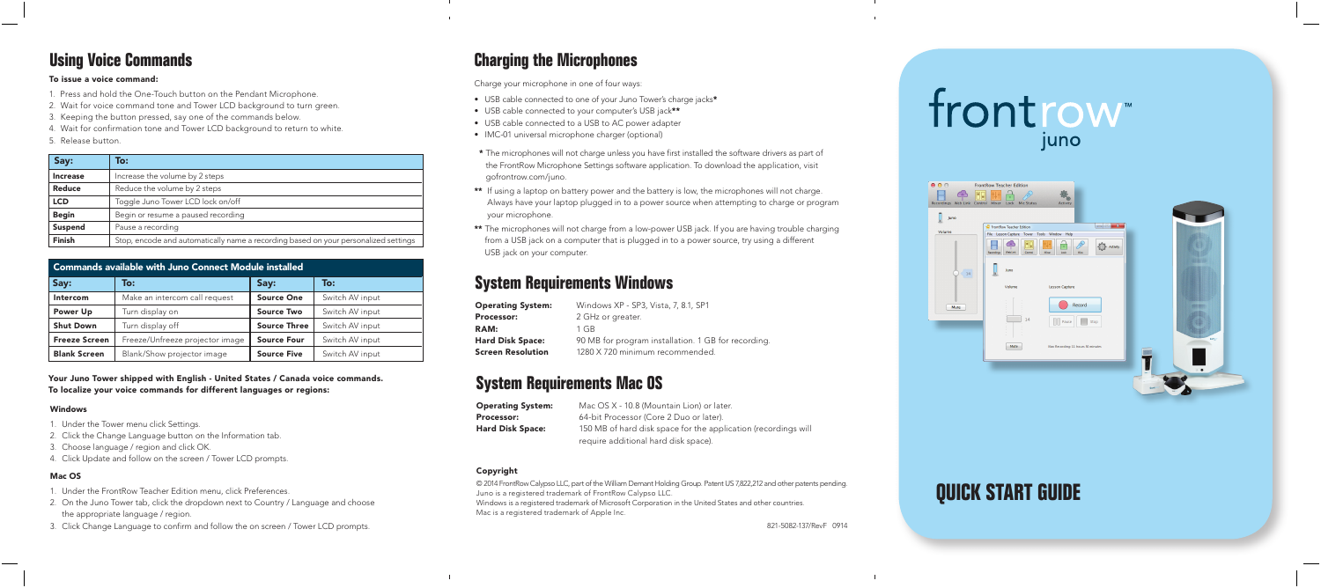## frontrow

| 000                                             | <b>FrontRow Teacher Edition</b>                                                                                                                                                                      |  |
|-------------------------------------------------|------------------------------------------------------------------------------------------------------------------------------------------------------------------------------------------------------|--|
| $\uparrow$<br>Recordings Web Link Control Mixer | ш<br>Lock Mic Status<br><b>Activity</b>                                                                                                                                                              |  |
| Juno                                            |                                                                                                                                                                                                      |  |
| Volume                                          | FrontRow Teacher Edition                                                                                                                                                                             |  |
|                                                 | File Lesson Capture Tower Tools Window Help<br>п<br>不<br>$\left\{\begin{matrix} 1 \\ 2 \end{matrix}\right\}$ Activity<br>니반<br>٠<br>Web Link<br>Moer<br>Recordings<br>Control<br>took<br><b>Mics</b> |  |
| $14\,$                                          | Juno                                                                                                                                                                                                 |  |
|                                                 | Volume<br><b>Lesson Capture</b>                                                                                                                                                                      |  |
| Mute                                            | ċ<br>Record<br>E<br>14<br>$\Box$ Pause<br>Stop<br>$\sim$<br>×<br><b>Isty</b>                                                                                                                         |  |
|                                                 | Mute<br>Max Recording: 11 hours 50 minutes                                                                                                                                                           |  |
|                                                 |                                                                                                                                                                                                      |  |
|                                                 | $\mathbb{R}$ .                                                                                                                                                                                       |  |
|                                                 |                                                                                                                                                                                                      |  |
|                                                 |                                                                                                                                                                                                      |  |

## **QUICK START GUIDE**